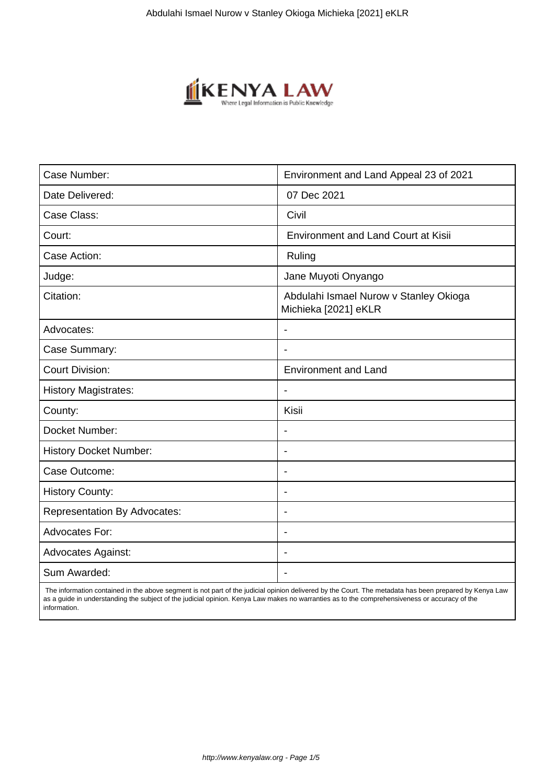

| Case Number:                        | Environment and Land Appeal 23 of 2021                         |
|-------------------------------------|----------------------------------------------------------------|
| Date Delivered:                     | 07 Dec 2021                                                    |
| Case Class:                         | Civil                                                          |
| Court:                              | <b>Environment and Land Court at Kisii</b>                     |
| Case Action:                        | Ruling                                                         |
| Judge:                              | Jane Muyoti Onyango                                            |
| Citation:                           | Abdulahi Ismael Nurow v Stanley Okioga<br>Michieka [2021] eKLR |
| Advocates:                          |                                                                |
| Case Summary:                       |                                                                |
| <b>Court Division:</b>              | <b>Environment and Land</b>                                    |
| <b>History Magistrates:</b>         | $\blacksquare$                                                 |
| County:                             | Kisii                                                          |
| Docket Number:                      |                                                                |
| <b>History Docket Number:</b>       | $\blacksquare$                                                 |
| Case Outcome:                       |                                                                |
| <b>History County:</b>              | $\overline{\phantom{a}}$                                       |
| <b>Representation By Advocates:</b> | $\blacksquare$                                                 |
| Advocates For:                      | $\blacksquare$                                                 |
| <b>Advocates Against:</b>           | ÷                                                              |
| Sum Awarded:                        |                                                                |

 The information contained in the above segment is not part of the judicial opinion delivered by the Court. The metadata has been prepared by Kenya Law as a guide in understanding the subject of the judicial opinion. Kenya Law makes no warranties as to the comprehensiveness or accuracy of the information.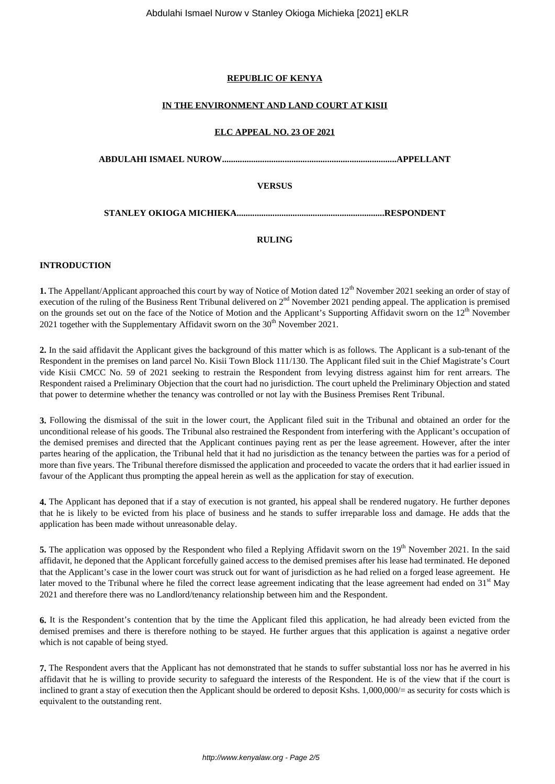### **REPUBLIC OF KENYA**

### **IN THE ENVIRONMENT AND LAND COURT AT KISII**

### **ELC APPEAL NO. 23 OF 2021**

**ABDULAHI ISMAEL NUROW..............................................................................APPELLANT**

# **VERSUS**

**STANLEY OKIOGA MICHIEKA..................................................................RESPONDENT**

## **RULING**

## **INTRODUCTION**

1. The Appellant/Applicant approached this court by way of Notice of Motion dated 12<sup>th</sup> November 2021 seeking an order of stay of execution of the ruling of the Business Rent Tribunal delivered on  $2<sup>nd</sup>$  November 2021 pending appeal. The application is premised on the grounds set out on the face of the Notice of Motion and the Applicant's Supporting Affidavit sworn on the 12<sup>th</sup> November 2021 together with the Supplementary Affidavit sworn on the  $30<sup>th</sup>$  November 2021.

**2.** In the said affidavit the Applicant gives the background of this matter which is as follows. The Applicant is a sub-tenant of the Respondent in the premises on land parcel No. Kisii Town Block 111/130. The Applicant filed suit in the Chief Magistrate's Court vide Kisii CMCC No. 59 of 2021 seeking to restrain the Respondent from levying distress against him for rent arrears. The Respondent raised a Preliminary Objection that the court had no jurisdiction. The court upheld the Preliminary Objection and stated that power to determine whether the tenancy was controlled or not lay with the Business Premises Rent Tribunal.

**3.** Following the dismissal of the suit in the lower court, the Applicant filed suit in the Tribunal and obtained an order for the unconditional release of his goods. The Tribunal also restrained the Respondent from interfering with the Applicant's occupation of the demised premises and directed that the Applicant continues paying rent as per the lease agreement. However, after the inter partes hearing of the application, the Tribunal held that it had no jurisdiction as the tenancy between the parties was for a period of more than five years. The Tribunal therefore dismissed the application and proceeded to vacate the orders that it had earlier issued in favour of the Applicant thus prompting the appeal herein as well as the application for stay of execution.

**4.** The Applicant has deponed that if a stay of execution is not granted, his appeal shall be rendered nugatory. He further depones that he is likely to be evicted from his place of business and he stands to suffer irreparable loss and damage. He adds that the application has been made without unreasonable delay.

**5.** The application was opposed by the Respondent who filed a Replying Affidavit sworn on the 19<sup>th</sup> November 2021. In the said affidavit, he deponed that the Applicant forcefully gained access to the demised premises after his lease had terminated. He deponed that the Applicant's case in the lower court was struck out for want of jurisdiction as he had relied on a forged lease agreement. He later moved to the Tribunal where he filed the correct lease agreement indicating that the lease agreement had ended on  $31<sup>st</sup>$  May 2021 and therefore there was no Landlord/tenancy relationship between him and the Respondent.

**6.** It is the Respondent's contention that by the time the Applicant filed this application, he had already been evicted from the demised premises and there is therefore nothing to be stayed. He further argues that this application is against a negative order which is not capable of being styed.

**7.** The Respondent avers that the Applicant has not demonstrated that he stands to suffer substantial loss nor has he averred in his affidavit that he is willing to provide security to safeguard the interests of the Respondent. He is of the view that if the court is inclined to grant a stay of execution then the Applicant should be ordered to deposit Kshs. 1,000,000/= as security for costs which is equivalent to the outstanding rent.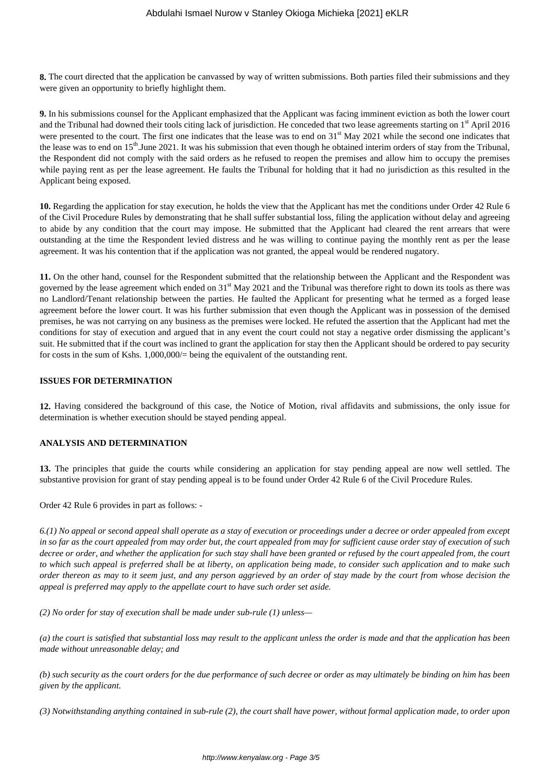**8.** The court directed that the application be canvassed by way of written submissions. Both parties filed their submissions and they were given an opportunity to briefly highlight them.

**9.** In his submissions counsel for the Applicant emphasized that the Applicant was facing imminent eviction as both the lower court and the Tribunal had downed their tools citing lack of jurisdiction. He conceded that two lease agreements starting on 1<sup>st</sup> April 2016 were presented to the court. The first one indicates that the lease was to end on  $31<sup>st</sup>$  May 2021 while the second one indicates that the lease was to end on 15<sup>th</sup>.June 2021. It was his submission that even though he obtained interim orders of stay from the Tribunal, the Respondent did not comply with the said orders as he refused to reopen the premises and allow him to occupy the premises while paying rent as per the lease agreement. He faults the Tribunal for holding that it had no jurisdiction as this resulted in the Applicant being exposed.

**10.** Regarding the application for stay execution, he holds the view that the Applicant has met the conditions under Order 42 Rule 6 of the Civil Procedure Rules by demonstrating that he shall suffer substantial loss, filing the application without delay and agreeing to abide by any condition that the court may impose. He submitted that the Applicant had cleared the rent arrears that were outstanding at the time the Respondent levied distress and he was willing to continue paying the monthly rent as per the lease agreement. It was his contention that if the application was not granted, the appeal would be rendered nugatory.

**11.** On the other hand, counsel for the Respondent submitted that the relationship between the Applicant and the Respondent was governed by the lease agreement which ended on 31<sup>st</sup> May 2021 and the Tribunal was therefore right to down its tools as there was no Landlord/Tenant relationship between the parties. He faulted the Applicant for presenting what he termed as a forged lease agreement before the lower court. It was his further submission that even though the Applicant was in possession of the demised premises, he was not carrying on any business as the premises were locked. He refuted the assertion that the Applicant had met the conditions for stay of execution and argued that in any event the court could not stay a negative order dismissing the applicant's suit. He submitted that if the court was inclined to grant the application for stay then the Applicant should be ordered to pay security for costs in the sum of Kshs. 1,000,000/= being the equivalent of the outstanding rent.

#### **ISSUES FOR DETERMINATION**

**12.** Having considered the background of this case, the Notice of Motion, rival affidavits and submissions, the only issue for determination is whether execution should be stayed pending appeal.

### **ANALYSIS AND DETERMINATION**

**13.** The principles that guide the courts while considering an application for stay pending appeal are now well settled. The substantive provision for grant of stay pending appeal is to be found under Order 42 Rule 6 of the Civil Procedure Rules.

Order 42 Rule 6 provides in part as follows: -

*6.(1) No appeal or second appeal shall operate as a stay of execution or proceedings under a decree or order appealed from except in so far as the court appealed from may order but, the court appealed from may for sufficient cause order stay of execution of such decree or order, and whether the application for such stay shall have been granted or refused by the court appealed from, the court to which such appeal is preferred shall be at liberty, on application being made, to consider such application and to make such order thereon as may to it seem just, and any person aggrieved by an order of stay made by the court from whose decision the appeal is preferred may apply to the appellate court to have such order set aside.* 

*(2) No order for stay of execution shall be made under sub-rule (1) unless—* 

*(a) the court is satisfied that substantial loss may result to the applicant unless the order is made and that the application has been made without unreasonable delay; and* 

*(b) such security as the court orders for the due performance of such decree or order as may ultimately be binding on him has been given by the applicant.* 

*(3) Notwithstanding anything contained in sub-rule (2), the court shall have power, without formal application made, to order upon*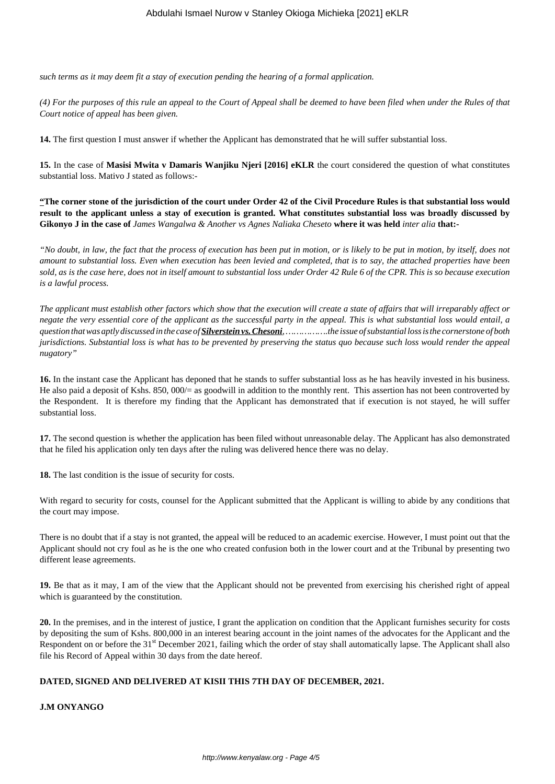*such terms as it may deem fit a stay of execution pending the hearing of a formal application.* 

*(4) For the purposes of this rule an appeal to the Court of Appeal shall be deemed to have been filed when under the Rules of that Court notice of appeal has been given.*

**14.** The first question I must answer if whether the Applicant has demonstrated that he will suffer substantial loss.

**15.** In the case of **Masisi Mwita v Damaris Wanjiku Njeri [2016] eKLR** the court considered the question of what constitutes substantial loss. Mativo J stated as follows:-

**"The corner stone of the jurisdiction of the court under Order 42 of the Civil Procedure Rules is that substantial loss would result to the applicant unless a stay of execution is granted. What constitutes substantial loss was broadly discussed by Gikonyo J in the case of** *James Wangalwa & Another vs Agnes Naliaka Cheseto* **where it was held** *inter alia* **that:-**

*"No doubt, in law, the fact that the process of execution has been put in motion, or is likely to be put in motion, by itself, does not amount to substantial loss. Even when execution has been levied and completed, that is to say, the attached properties have been sold, as is the case here, does not in itself amount to substantial loss under Order 42 Rule 6 of the CPR. This is so because execution is a lawful process.*

*The applicant must establish other factors which show that the execution will create a state of affairs that will irreparably affect or negate the very essential core of the applicant as the successful party in the appeal. This is what substantial loss would entail, a question that was aptly discussed in the case of Silverstein vs. Chesoni, …………….the issue of substantial loss is the cornerstone of both jurisdictions. Substantial loss is what has to be prevented by preserving the status quo because such loss would render the appeal nugatory"*

**16.** In the instant case the Applicant has deponed that he stands to suffer substantial loss as he has heavily invested in his business. He also paid a deposit of Kshs. 850, 000/= as goodwill in addition to the monthly rent. This assertion has not been controverted by the Respondent. It is therefore my finding that the Applicant has demonstrated that if execution is not stayed, he will suffer substantial loss.

**17.** The second question is whether the application has been filed without unreasonable delay. The Applicant has also demonstrated that he filed his application only ten days after the ruling was delivered hence there was no delay.

**18.** The last condition is the issue of security for costs.

With regard to security for costs, counsel for the Applicant submitted that the Applicant is willing to abide by any conditions that the court may impose.

There is no doubt that if a stay is not granted, the appeal will be reduced to an academic exercise. However, I must point out that the Applicant should not cry foul as he is the one who created confusion both in the lower court and at the Tribunal by presenting two different lease agreements.

**19.** Be that as it may, I am of the view that the Applicant should not be prevented from exercising his cherished right of appeal which is guaranteed by the constitution.

**20.** In the premises, and in the interest of justice, I grant the application on condition that the Applicant furnishes security for costs by depositing the sum of Kshs. 800,000 in an interest bearing account in the joint names of the advocates for the Applicant and the Respondent on or before the 31<sup>st</sup> December 2021, failing which the order of stay shall automatically lapse. The Applicant shall also file his Record of Appeal within 30 days from the date hereof.

### **DATED, SIGNED AND DELIVERED AT KISII THIS 7TH DAY OF DECEMBER, 2021.**

**J.M ONYANGO**